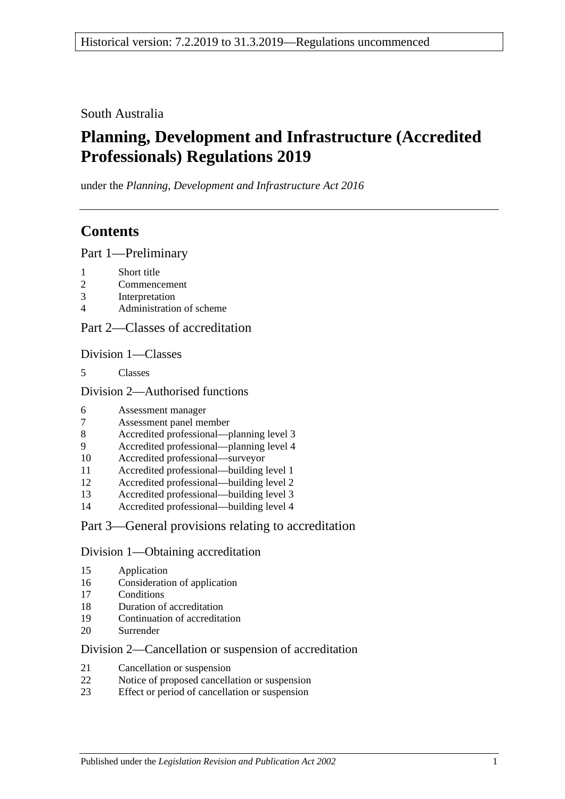South Australia

# **Planning, Development and Infrastructure (Accredited Professionals) Regulations 2019**

under the *Planning, Development and Infrastructure Act 2016*

## **Contents**

Part [1—Preliminary](#page-1-0)

- [Short title](#page-1-1)
- [Commencement](#page-1-2)
- [Interpretation](#page-2-0)
- [Administration of scheme](#page-3-0)

### Part [2—Classes of accreditation](#page-3-1)

Division [1—Classes](#page-3-2)

[Classes](#page-3-3)

Division [2—Authorised functions](#page-3-4)

- [Assessment manager](#page-3-5)
- [Assessment panel member](#page-4-0)
- [Accredited professional—planning level 3](#page-4-1)
- [Accredited professional—planning level 4](#page-4-2)
- [Accredited professional—surveyor](#page-4-3)
- [Accredited professional—building level 1](#page-4-4)
- [Accredited professional—building level 2](#page-5-0)
- [Accredited professional—building level 3](#page-5-1)
- [Accredited professional—building level 4](#page-5-2)

## Part [3—General provisions relating to accreditation](#page-5-3)

### Division [1—Obtaining accreditation](#page-5-4)

- [Application](#page-5-5)
- [Consideration of application](#page-6-0)
- [Conditions](#page-7-0)
- [Duration of accreditation](#page-7-1)
- [Continuation of accreditation](#page-8-0)
- [Surrender](#page-8-1)

### Division [2—Cancellation or suspension of accreditation](#page-9-0)

- [Cancellation or suspension](#page-9-1)
- [Notice of proposed cancellation or suspension](#page-9-2)
- [Effect or period of cancellation or suspension](#page-10-0)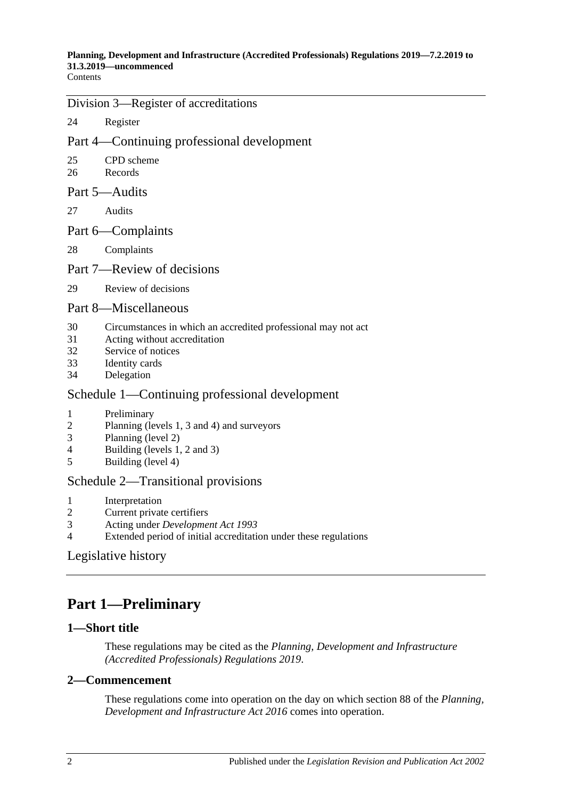**Contents** 

### Division [3—Register of accreditations](#page-10-1)

24 [Register](#page-10-2)

## Part [4—Continuing professional development](#page-10-3)

- 25 [CPD scheme](#page-10-4)
- 26 [Records](#page-11-0)
- Part [5—Audits](#page-12-0)
- 27 [Audits](#page-12-1)
- Part [6—Complaints](#page-15-0)
- 28 [Complaints](#page-15-1)

### Part [7—Review of decisions](#page-17-0)

29 [Review of decisions](#page-17-1)

### Part [8—Miscellaneous](#page-18-0)

- 30 [Circumstances in which an accredited professional may not act](#page-18-1)
- 31 [Acting without accreditation](#page-18-2)
- 32 [Service of notices](#page-18-3)
- 33 [Identity cards](#page-18-4)
- 34 [Delegation](#page-19-0)

## Schedule [1—Continuing professional development](#page-19-1)

- 1 [Preliminary](#page-19-2)
- 2 [Planning \(levels 1, 3 and 4\) and surveyors](#page-19-3)
- 3 [Planning \(level 2\)](#page-20-0)
- 4 [Building \(levels 1, 2 and 3\)](#page-20-1)
- 5 [Building \(level 4\)](#page-20-2)

### Schedule [2—Transitional provisions](#page-21-0)

- 1 [Interpretation](#page-21-1)
- 2 [Current private certifiers](#page-21-2)
- 3 Acting under *[Development Act](#page-22-0) 1993*
- 4 [Extended period of initial accreditation under these regulations](#page-22-1)

## [Legislative history](#page-23-0)

# <span id="page-1-0"></span>**Part 1—Preliminary**

### <span id="page-1-1"></span>**1—Short title**

These regulations may be cited as the *Planning, Development and Infrastructure (Accredited Professionals) Regulations 2019*.

### <span id="page-1-2"></span>**2—Commencement**

These regulations come into operation on the day on which section 88 of the *[Planning,](http://www.legislation.sa.gov.au/index.aspx?action=legref&type=act&legtitle=Planning%20Development%20and%20Infrastructure%20Act%202016)  [Development and Infrastructure Act](http://www.legislation.sa.gov.au/index.aspx?action=legref&type=act&legtitle=Planning%20Development%20and%20Infrastructure%20Act%202016) 2016* comes into operation.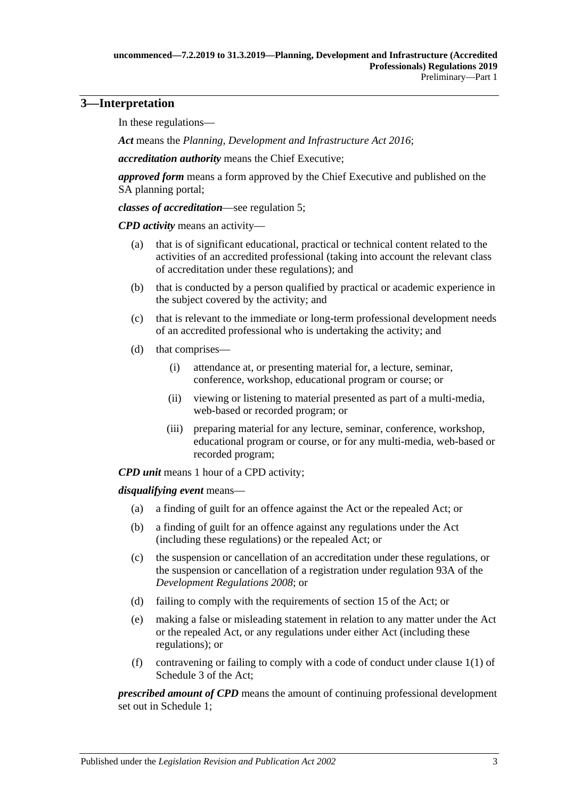## <span id="page-2-0"></span>**3—Interpretation**

In these regulations—

*Act* means the *[Planning, Development and Infrastructure Act](http://www.legislation.sa.gov.au/index.aspx?action=legref&type=act&legtitle=Planning%20Development%20and%20Infrastructure%20Act%202016) 2016*;

*accreditation authority* means the Chief Executive;

*approved form* means a form approved by the Chief Executive and published on the SA planning portal;

*classes of accreditation*—see [regulation](#page-3-3) 5;

*CPD activity* means an activity—

- (a) that is of significant educational, practical or technical content related to the activities of an accredited professional (taking into account the relevant class of accreditation under these regulations); and
- (b) that is conducted by a person qualified by practical or academic experience in the subject covered by the activity; and
- (c) that is relevant to the immediate or long-term professional development needs of an accredited professional who is undertaking the activity; and
- (d) that comprises—
	- (i) attendance at, or presenting material for, a lecture, seminar, conference, workshop, educational program or course; or
	- (ii) viewing or listening to material presented as part of a multi-media, web-based or recorded program; or
	- (iii) preparing material for any lecture, seminar, conference, workshop, educational program or course, or for any multi-media, web-based or recorded program;

*CPD unit* means 1 hour of a CPD activity;

*disqualifying event* means—

- (a) a finding of guilt for an offence against the Act or the repealed Act; or
- (b) a finding of guilt for an offence against any regulations under the Act (including these regulations) or the repealed Act; or
- (c) the suspension or cancellation of an accreditation under these regulations, or the suspension or cancellation of a registration under regulation 93A of the *[Development Regulations](http://www.legislation.sa.gov.au/index.aspx?action=legref&type=subordleg&legtitle=Development%20Regulations%202008) 2008*; or
- (d) failing to comply with the requirements of section 15 of the Act; or
- (e) making a false or misleading statement in relation to any matter under the Act or the repealed Act, or any regulations under either Act (including these regulations); or
- (f) contravening or failing to comply with a code of conduct under clause 1(1) of Schedule 3 of the Act;

*prescribed amount of CPD* means the amount of continuing professional development set out in [Schedule](#page-19-1) 1;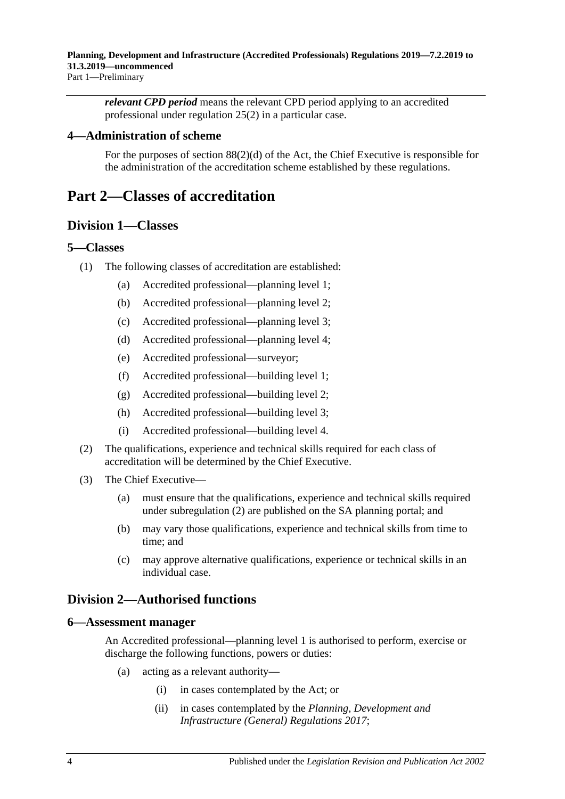*relevant CPD period* means the relevant CPD period applying to an accredited professional under [regulation](#page-10-5) 25(2) in a particular case.

### <span id="page-3-0"></span>**4—Administration of scheme**

For the purposes of section 88(2)(d) of the Act, the Chief Executive is responsible for the administration of the accreditation scheme established by these regulations.

## <span id="page-3-2"></span><span id="page-3-1"></span>**Part 2—Classes of accreditation**

### **Division 1—Classes**

#### <span id="page-3-3"></span>**5—Classes**

- (1) The following classes of accreditation are established:
	- (a) Accredited professional—planning level 1;
	- (b) Accredited professional—planning level 2;
	- (c) Accredited professional—planning level 3;
	- (d) Accredited professional—planning level 4;
	- (e) Accredited professional—surveyor;
	- (f) Accredited professional—building level 1;
	- (g) Accredited professional—building level 2;
	- (h) Accredited professional—building level 3;
	- (i) Accredited professional—building level 4.
- <span id="page-3-6"></span>(2) The qualifications, experience and technical skills required for each class of accreditation will be determined by the Chief Executive.
- (3) The Chief Executive—
	- (a) must ensure that the qualifications, experience and technical skills required under [subregulation](#page-3-6) (2) are published on the SA planning portal; and
	- (b) may vary those qualifications, experience and technical skills from time to time; and
	- (c) may approve alternative qualifications, experience or technical skills in an individual case.

## <span id="page-3-4"></span>**Division 2—Authorised functions**

#### <span id="page-3-5"></span>**6—Assessment manager**

An Accredited professional—planning level 1 is authorised to perform, exercise or discharge the following functions, powers or duties:

- (a) acting as a relevant authority—
	- (i) in cases contemplated by the Act; or
	- (ii) in cases contemplated by the *[Planning, Development and](http://www.legislation.sa.gov.au/index.aspx?action=legref&type=subordleg&legtitle=Planning%20Development%20and%20Infrastructure%20(General)%20Regulations%202017)  [Infrastructure \(General\) Regulations](http://www.legislation.sa.gov.au/index.aspx?action=legref&type=subordleg&legtitle=Planning%20Development%20and%20Infrastructure%20(General)%20Regulations%202017) 2017*;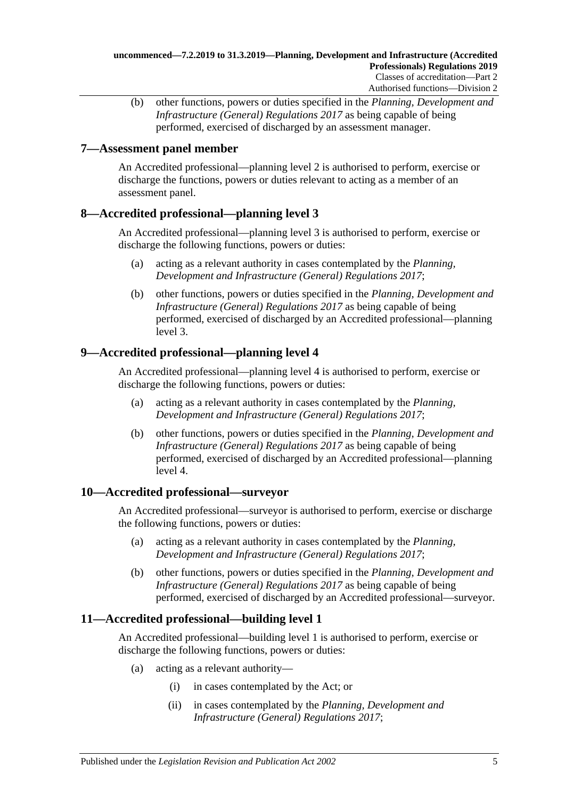(b) other functions, powers or duties specified in the *[Planning, Development and](http://www.legislation.sa.gov.au/index.aspx?action=legref&type=subordleg&legtitle=Planning%20Development%20and%20Infrastructure%20(General)%20Regulations%202017)  [Infrastructure \(General\) Regulations](http://www.legislation.sa.gov.au/index.aspx?action=legref&type=subordleg&legtitle=Planning%20Development%20and%20Infrastructure%20(General)%20Regulations%202017) 2017* as being capable of being performed, exercised of discharged by an assessment manager.

## <span id="page-4-0"></span>**7—Assessment panel member**

An Accredited professional—planning level 2 is authorised to perform, exercise or discharge the functions, powers or duties relevant to acting as a member of an assessment panel.

### <span id="page-4-1"></span>**8—Accredited professional—planning level 3**

An Accredited professional—planning level 3 is authorised to perform, exercise or discharge the following functions, powers or duties:

- (a) acting as a relevant authority in cases contemplated by the *[Planning,](http://www.legislation.sa.gov.au/index.aspx?action=legref&type=subordleg&legtitle=Planning%20Development%20and%20Infrastructure%20(General)%20Regulations%202017)  [Development and Infrastructure \(General\) Regulations](http://www.legislation.sa.gov.au/index.aspx?action=legref&type=subordleg&legtitle=Planning%20Development%20and%20Infrastructure%20(General)%20Regulations%202017) 2017*;
- (b) other functions, powers or duties specified in the *[Planning, Development and](http://www.legislation.sa.gov.au/index.aspx?action=legref&type=subordleg&legtitle=Planning%20Development%20and%20Infrastructure%20(General)%20Regulations%202017)  [Infrastructure \(General\) Regulations](http://www.legislation.sa.gov.au/index.aspx?action=legref&type=subordleg&legtitle=Planning%20Development%20and%20Infrastructure%20(General)%20Regulations%202017) 2017* as being capable of being performed, exercised of discharged by an Accredited professional—planning level 3.

## <span id="page-4-2"></span>**9—Accredited professional—planning level 4**

An Accredited professional—planning level 4 is authorised to perform, exercise or discharge the following functions, powers or duties:

- (a) acting as a relevant authority in cases contemplated by the *[Planning,](http://www.legislation.sa.gov.au/index.aspx?action=legref&type=subordleg&legtitle=Planning%20Development%20and%20Infrastructure%20(General)%20Regulations%202017)  [Development and Infrastructure \(General\) Regulations](http://www.legislation.sa.gov.au/index.aspx?action=legref&type=subordleg&legtitle=Planning%20Development%20and%20Infrastructure%20(General)%20Regulations%202017) 2017*;
- (b) other functions, powers or duties specified in the *[Planning, Development and](http://www.legislation.sa.gov.au/index.aspx?action=legref&type=subordleg&legtitle=Planning%20Development%20and%20Infrastructure%20(General)%20Regulations%202017)  [Infrastructure \(General\) Regulations](http://www.legislation.sa.gov.au/index.aspx?action=legref&type=subordleg&legtitle=Planning%20Development%20and%20Infrastructure%20(General)%20Regulations%202017) 2017* as being capable of being performed, exercised of discharged by an Accredited professional—planning level 4.

## <span id="page-4-3"></span>**10—Accredited professional—surveyor**

An Accredited professional—surveyor is authorised to perform, exercise or discharge the following functions, powers or duties:

- (a) acting as a relevant authority in cases contemplated by the *[Planning,](http://www.legislation.sa.gov.au/index.aspx?action=legref&type=subordleg&legtitle=Planning%20Development%20and%20Infrastructure%20(General)%20Regulations%202017)  [Development and Infrastructure \(General\) Regulations](http://www.legislation.sa.gov.au/index.aspx?action=legref&type=subordleg&legtitle=Planning%20Development%20and%20Infrastructure%20(General)%20Regulations%202017) 2017*;
- (b) other functions, powers or duties specified in the *[Planning, Development and](http://www.legislation.sa.gov.au/index.aspx?action=legref&type=subordleg&legtitle=Planning%20Development%20and%20Infrastructure%20(General)%20Regulations%202017)  [Infrastructure \(General\) Regulations](http://www.legislation.sa.gov.au/index.aspx?action=legref&type=subordleg&legtitle=Planning%20Development%20and%20Infrastructure%20(General)%20Regulations%202017) 2017* as being capable of being performed, exercised of discharged by an Accredited professional—surveyor.

## <span id="page-4-4"></span>**11—Accredited professional—building level 1**

An Accredited professional—building level 1 is authorised to perform, exercise or discharge the following functions, powers or duties:

- (a) acting as a relevant authority—
	- (i) in cases contemplated by the Act; or
	- (ii) in cases contemplated by the *[Planning, Development and](http://www.legislation.sa.gov.au/index.aspx?action=legref&type=subordleg&legtitle=Planning%20Development%20and%20Infrastructure%20(General)%20Regulations%202017)  [Infrastructure \(General\) Regulations](http://www.legislation.sa.gov.au/index.aspx?action=legref&type=subordleg&legtitle=Planning%20Development%20and%20Infrastructure%20(General)%20Regulations%202017) 2017*;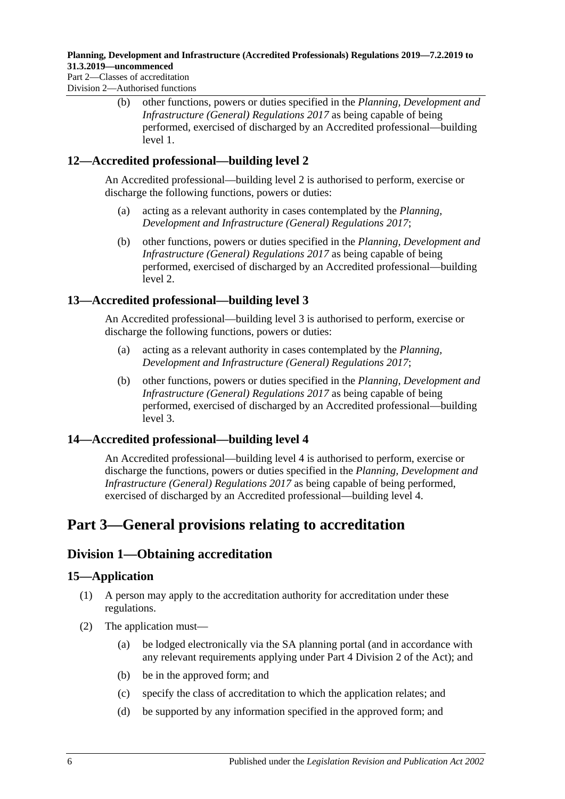Part 2—Classes of accreditation Division 2—Authorised functions

> (b) other functions, powers or duties specified in the *[Planning, Development and](http://www.legislation.sa.gov.au/index.aspx?action=legref&type=subordleg&legtitle=Planning%20Development%20and%20Infrastructure%20(General)%20Regulations%202017)  [Infrastructure \(General\) Regulations](http://www.legislation.sa.gov.au/index.aspx?action=legref&type=subordleg&legtitle=Planning%20Development%20and%20Infrastructure%20(General)%20Regulations%202017) 2017* as being capable of being performed, exercised of discharged by an Accredited professional—building level 1.

## <span id="page-5-0"></span>**12—Accredited professional—building level 2**

An Accredited professional—building level 2 is authorised to perform, exercise or discharge the following functions, powers or duties:

- (a) acting as a relevant authority in cases contemplated by the *[Planning,](http://www.legislation.sa.gov.au/index.aspx?action=legref&type=subordleg&legtitle=Planning%20Development%20and%20Infrastructure%20(General)%20Regulations%202017)  [Development and Infrastructure \(General\) Regulations](http://www.legislation.sa.gov.au/index.aspx?action=legref&type=subordleg&legtitle=Planning%20Development%20and%20Infrastructure%20(General)%20Regulations%202017) 2017*;
- (b) other functions, powers or duties specified in the *[Planning, Development and](http://www.legislation.sa.gov.au/index.aspx?action=legref&type=subordleg&legtitle=Planning%20Development%20and%20Infrastructure%20(General)%20Regulations%202017)  [Infrastructure \(General\) Regulations](http://www.legislation.sa.gov.au/index.aspx?action=legref&type=subordleg&legtitle=Planning%20Development%20and%20Infrastructure%20(General)%20Regulations%202017) 2017* as being capable of being performed, exercised of discharged by an Accredited professional—building level 2.

## <span id="page-5-1"></span>**13—Accredited professional—building level 3**

An Accredited professional—building level 3 is authorised to perform, exercise or discharge the following functions, powers or duties:

- (a) acting as a relevant authority in cases contemplated by the *[Planning,](http://www.legislation.sa.gov.au/index.aspx?action=legref&type=subordleg&legtitle=Planning%20Development%20and%20Infrastructure%20(General)%20Regulations%202017)  [Development and Infrastructure \(General\) Regulations](http://www.legislation.sa.gov.au/index.aspx?action=legref&type=subordleg&legtitle=Planning%20Development%20and%20Infrastructure%20(General)%20Regulations%202017) 2017*;
- (b) other functions, powers or duties specified in the *[Planning, Development and](http://www.legislation.sa.gov.au/index.aspx?action=legref&type=subordleg&legtitle=Planning%20Development%20and%20Infrastructure%20(General)%20Regulations%202017)  [Infrastructure \(General\) Regulations](http://www.legislation.sa.gov.au/index.aspx?action=legref&type=subordleg&legtitle=Planning%20Development%20and%20Infrastructure%20(General)%20Regulations%202017) 2017* as being capable of being performed, exercised of discharged by an Accredited professional—building level 3.

## <span id="page-5-2"></span>**14—Accredited professional—building level 4**

An Accredited professional—building level 4 is authorised to perform, exercise or discharge the functions, powers or duties specified in the *[Planning, Development and](http://www.legislation.sa.gov.au/index.aspx?action=legref&type=subordleg&legtitle=Planning%20Development%20and%20Infrastructure%20(General)%20Regulations%202017)  [Infrastructure \(General\) Regulations](http://www.legislation.sa.gov.au/index.aspx?action=legref&type=subordleg&legtitle=Planning%20Development%20and%20Infrastructure%20(General)%20Regulations%202017) 2017* as being capable of being performed, exercised of discharged by an Accredited professional—building level 4.

## <span id="page-5-3"></span>**Part 3—General provisions relating to accreditation**

## <span id="page-5-4"></span>**Division 1—Obtaining accreditation**

## <span id="page-5-5"></span>**15—Application**

- (1) A person may apply to the accreditation authority for accreditation under these regulations.
- (2) The application must—
	- (a) be lodged electronically via the SA planning portal (and in accordance with any relevant requirements applying under Part 4 Division 2 of the Act); and
	- (b) be in the approved form; and
	- (c) specify the class of accreditation to which the application relates; and
	- (d) be supported by any information specified in the approved form; and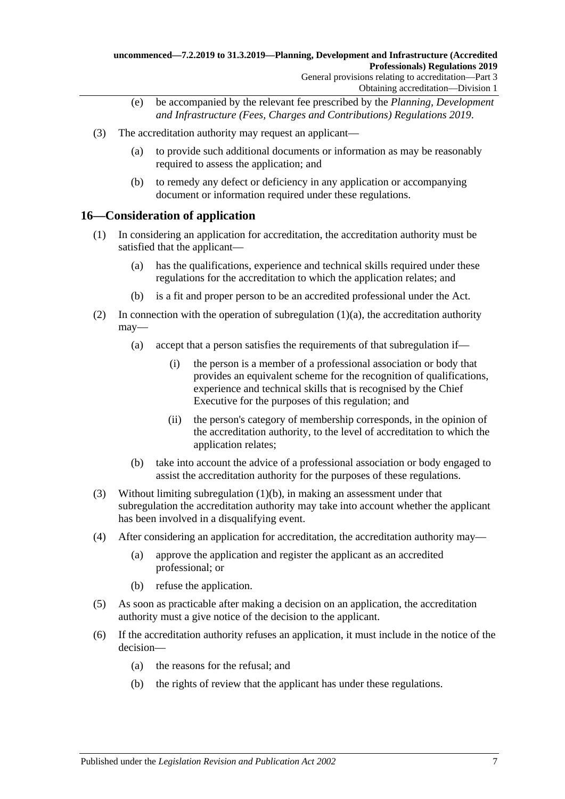Obtaining accreditation—Division 1

- (e) be accompanied by the relevant fee prescribed by the *[Planning, Development](http://www.legislation.sa.gov.au/index.aspx?action=legref&type=subordleg&legtitle=Planning%20Development%20and%20Infrastructure%20(Fees%20Charges%20and%20Contributions)%20Regulations%202019)  [and Infrastructure \(Fees, Charges and Contributions\) Regulations](http://www.legislation.sa.gov.au/index.aspx?action=legref&type=subordleg&legtitle=Planning%20Development%20and%20Infrastructure%20(Fees%20Charges%20and%20Contributions)%20Regulations%202019) 2019*.
- (3) The accreditation authority may request an applicant—
	- (a) to provide such additional documents or information as may be reasonably required to assess the application; and
	- (b) to remedy any defect or deficiency in any application or accompanying document or information required under these regulations.

#### <span id="page-6-0"></span>**16—Consideration of application**

- <span id="page-6-1"></span>(1) In considering an application for accreditation, the accreditation authority must be satisfied that the applicant—
	- (a) has the qualifications, experience and technical skills required under these regulations for the accreditation to which the application relates; and
	- (b) is a fit and proper person to be an accredited professional under the Act.
- <span id="page-6-2"></span>(2) In connection with the operation of [subregulation](#page-6-1)  $(1)(a)$ , the accreditation authority may—
	- (a) accept that a person satisfies the requirements of that subregulation if—
		- (i) the person is a member of a professional association or body that provides an equivalent scheme for the recognition of qualifications, experience and technical skills that is recognised by the Chief Executive for the purposes of this regulation; and
		- (ii) the person's category of membership corresponds, in the opinion of the accreditation authority, to the level of accreditation to which the application relates;
	- (b) take into account the advice of a professional association or body engaged to assist the accreditation authority for the purposes of these regulations.
- <span id="page-6-3"></span>(3) Without limiting [subregulation](#page-6-2) (1)(b), in making an assessment under that subregulation the accreditation authority may take into account whether the applicant has been involved in a disqualifying event.
- (4) After considering an application for accreditation, the accreditation authority may—
	- (a) approve the application and register the applicant as an accredited professional; or
	- (b) refuse the application.
- (5) As soon as practicable after making a decision on an application, the accreditation authority must a give notice of the decision to the applicant.
- (6) If the accreditation authority refuses an application, it must include in the notice of the decision—
	- (a) the reasons for the refusal; and
	- (b) the rights of review that the applicant has under these regulations.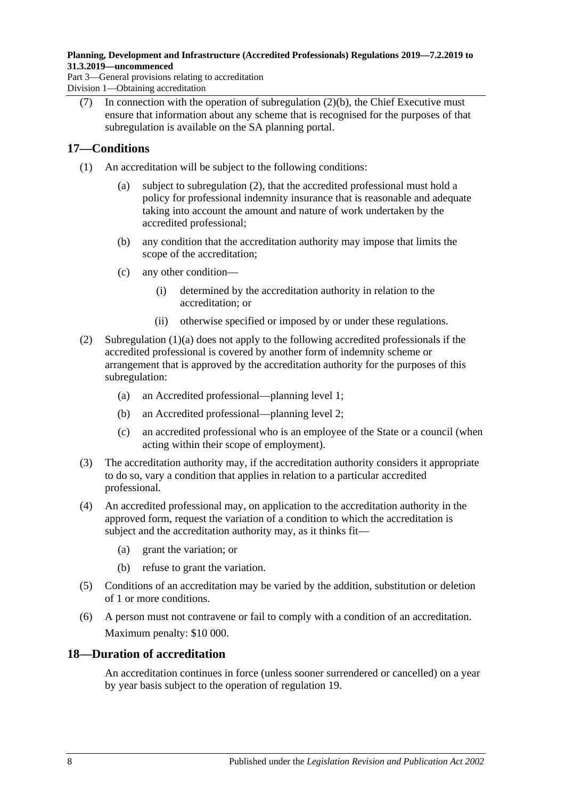Part 3—General provisions relating to accreditation Division 1—Obtaining accreditation

(7) In connection with the operation of [subregulation](#page-6-3)  $(2)(b)$ , the Chief Executive must ensure that information about any scheme that is recognised for the purposes of that subregulation is available on the SA planning portal.

## <span id="page-7-0"></span>**17—Conditions**

- <span id="page-7-3"></span>(1) An accreditation will be subject to the following conditions:
	- (a) subject to [subregulation](#page-7-2) (2), that the accredited professional must hold a policy for professional indemnity insurance that is reasonable and adequate taking into account the amount and nature of work undertaken by the accredited professional;
	- (b) any condition that the accreditation authority may impose that limits the scope of the accreditation;
	- (c) any other condition—
		- (i) determined by the accreditation authority in relation to the accreditation; or
		- (ii) otherwise specified or imposed by or under these regulations.
- <span id="page-7-2"></span>(2) [Subregulation](#page-7-3) (1)(a) does not apply to the following accredited professionals if the accredited professional is covered by another form of indemnity scheme or arrangement that is approved by the accreditation authority for the purposes of this subregulation:
	- (a) an Accredited professional—planning level 1;
	- (b) an Accredited professional—planning level 2;
	- (c) an accredited professional who is an employee of the State or a council (when acting within their scope of employment).
- (3) The accreditation authority may, if the accreditation authority considers it appropriate to do so, vary a condition that applies in relation to a particular accredited professional.
- (4) An accredited professional may, on application to the accreditation authority in the approved form, request the variation of a condition to which the accreditation is subject and the accreditation authority may, as it thinks fit—
	- (a) grant the variation; or
	- (b) refuse to grant the variation.
- (5) Conditions of an accreditation may be varied by the addition, substitution or deletion of 1 or more conditions.
- (6) A person must not contravene or fail to comply with a condition of an accreditation. Maximum penalty: \$10 000.

## <span id="page-7-1"></span>**18—Duration of accreditation**

An accreditation continues in force (unless sooner surrendered or cancelled) on a year by year basis subject to the operation of [regulation](#page-8-0) 19.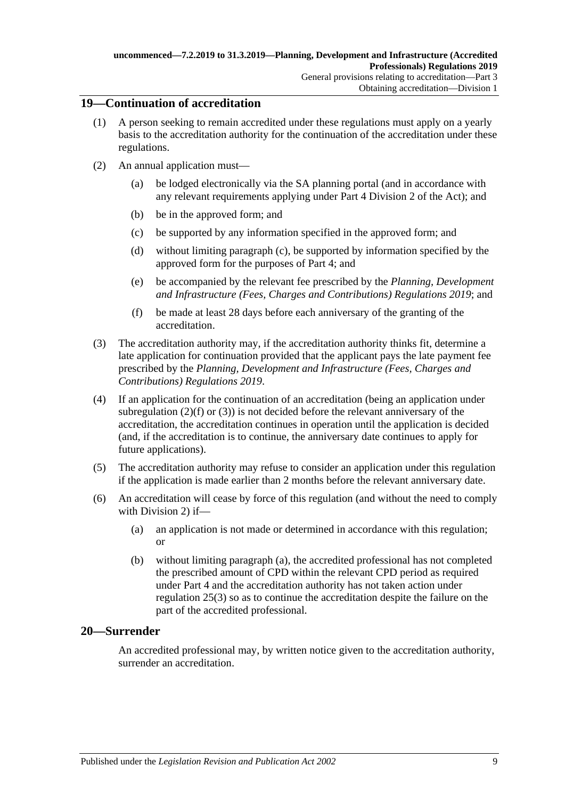### <span id="page-8-0"></span>**19—Continuation of accreditation**

- (1) A person seeking to remain accredited under these regulations must apply on a yearly basis to the accreditation authority for the continuation of the accreditation under these regulations.
- <span id="page-8-2"></span>(2) An annual application must
	- be lodged electronically via the SA planning portal (and in accordance with any relevant requirements applying under Part 4 Division 2 of the Act); and
	- (b) be in the approved form; and
	- (c) be supported by any information specified in the approved form; and
	- (d) without limiting [paragraph](#page-8-2) (c), be supported by information specified by the approved form for the purposes of [Part](#page-10-3) 4; and
	- (e) be accompanied by the relevant fee prescribed by the *[Planning, Development](http://www.legislation.sa.gov.au/index.aspx?action=legref&type=subordleg&legtitle=Planning%20Development%20and%20Infrastructure%20(Fees%20Charges%20and%20Contributions)%20Regulations%202019)  [and Infrastructure \(Fees, Charges and Contributions\) Regulations](http://www.legislation.sa.gov.au/index.aspx?action=legref&type=subordleg&legtitle=Planning%20Development%20and%20Infrastructure%20(Fees%20Charges%20and%20Contributions)%20Regulations%202019) 2019*; and
	- (f) be made at least 28 days before each anniversary of the granting of the accreditation.
- <span id="page-8-4"></span><span id="page-8-3"></span>(3) The accreditation authority may, if the accreditation authority thinks fit, determine a late application for continuation provided that the applicant pays the late payment fee prescribed by the *[Planning, Development and Infrastructure \(Fees, Charges and](http://www.legislation.sa.gov.au/index.aspx?action=legref&type=subordleg&legtitle=Planning%20Development%20and%20Infrastructure%20(Fees%20Charges%20and%20Contributions)%20Regulations%202019)  [Contributions\) Regulations](http://www.legislation.sa.gov.au/index.aspx?action=legref&type=subordleg&legtitle=Planning%20Development%20and%20Infrastructure%20(Fees%20Charges%20and%20Contributions)%20Regulations%202019) 2019*.
- (4) If an application for the continuation of an accreditation (being an application under [subregulation](#page-8-3)  $(2)(f)$  or  $(3)$ ) is not decided before the relevant anniversary of the accreditation, the accreditation continues in operation until the application is decided (and, if the accreditation is to continue, the anniversary date continues to apply for future applications).
- (5) The accreditation authority may refuse to consider an application under this regulation if the application is made earlier than 2 months before the relevant anniversary date.
- <span id="page-8-5"></span>(6) An accreditation will cease by force of this regulation (and without the need to comply with [Division](#page-9-0) 2) if—
	- (a) an application is not made or determined in accordance with this regulation; or
	- (b) without limiting [paragraph](#page-8-5) (a), the accredited professional has not completed the prescribed amount of CPD within the relevant CPD period as required under [Part](#page-10-3) 4 and the accreditation authority has not taken action under [regulation](#page-11-1) 25(3) so as to continue the accreditation despite the failure on the part of the accredited professional.

### <span id="page-8-1"></span>**20—Surrender**

An accredited professional may, by written notice given to the accreditation authority, surrender an accreditation.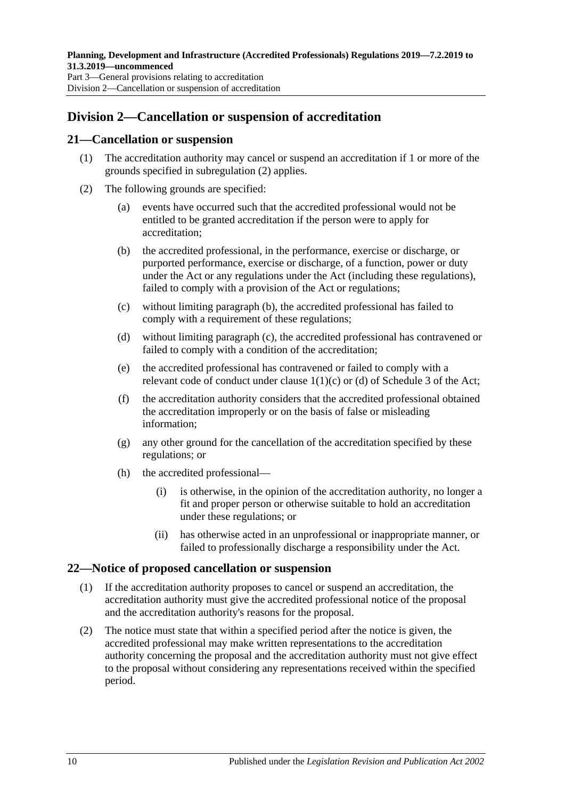## <span id="page-9-0"></span>**Division 2—Cancellation or suspension of accreditation**

#### <span id="page-9-1"></span>**21—Cancellation or suspension**

- (1) The accreditation authority may cancel or suspend an accreditation if 1 or more of the grounds specified in [subregulation](#page-9-3) (2) applies.
- <span id="page-9-5"></span><span id="page-9-4"></span><span id="page-9-3"></span>(2) The following grounds are specified:
	- (a) events have occurred such that the accredited professional would not be entitled to be granted accreditation if the person were to apply for accreditation;
	- (b) the accredited professional, in the performance, exercise or discharge, or purported performance, exercise or discharge, of a function, power or duty under the Act or any regulations under the Act (including these regulations), failed to comply with a provision of the Act or regulations;
	- (c) without limiting [paragraph](#page-9-4) (b), the accredited professional has failed to comply with a requirement of these regulations;
	- (d) without limiting [paragraph](#page-9-5) (c), the accredited professional has contravened or failed to comply with a condition of the accreditation;
	- (e) the accredited professional has contravened or failed to comply with a relevant code of conduct under clause 1(1)(c) or (d) of Schedule 3 of the Act;
	- (f) the accreditation authority considers that the accredited professional obtained the accreditation improperly or on the basis of false or misleading information;
	- (g) any other ground for the cancellation of the accreditation specified by these regulations; or
	- (h) the accredited professional—
		- (i) is otherwise, in the opinion of the accreditation authority, no longer a fit and proper person or otherwise suitable to hold an accreditation under these regulations; or
		- (ii) has otherwise acted in an unprofessional or inappropriate manner, or failed to professionally discharge a responsibility under the Act.

### <span id="page-9-2"></span>**22—Notice of proposed cancellation or suspension**

- (1) If the accreditation authority proposes to cancel or suspend an accreditation, the accreditation authority must give the accredited professional notice of the proposal and the accreditation authority's reasons for the proposal.
- (2) The notice must state that within a specified period after the notice is given, the accredited professional may make written representations to the accreditation authority concerning the proposal and the accreditation authority must not give effect to the proposal without considering any representations received within the specified period.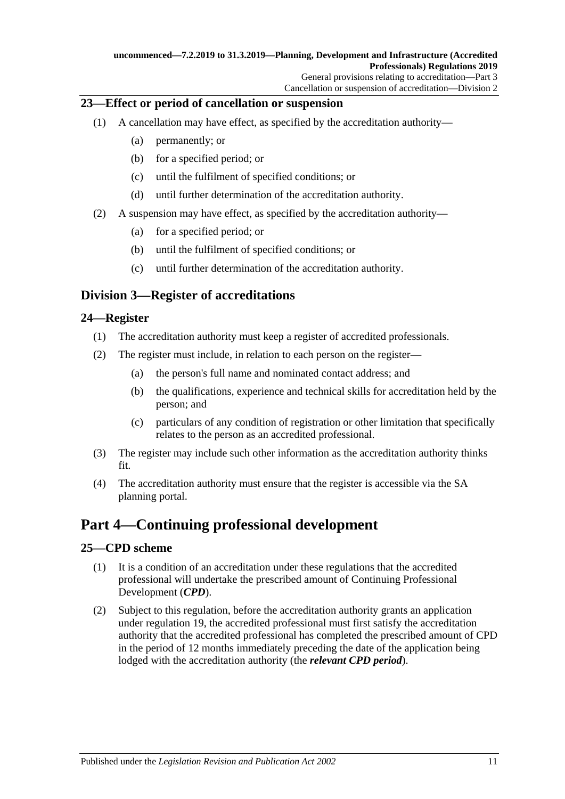### <span id="page-10-0"></span>**23—Effect or period of cancellation or suspension**

- (1) A cancellation may have effect, as specified by the accreditation authority—
	- (a) permanently; or
	- (b) for a specified period; or
	- (c) until the fulfilment of specified conditions; or
	- (d) until further determination of the accreditation authority.
- (2) A suspension may have effect, as specified by the accreditation authority—
	- (a) for a specified period; or
	- (b) until the fulfilment of specified conditions; or
	- (c) until further determination of the accreditation authority.

## <span id="page-10-1"></span>**Division 3—Register of accreditations**

### <span id="page-10-2"></span>**24—Register**

- (1) The accreditation authority must keep a register of accredited professionals.
- (2) The register must include, in relation to each person on the register—
	- (a) the person's full name and nominated contact address; and
	- (b) the qualifications, experience and technical skills for accreditation held by the person; and
	- (c) particulars of any condition of registration or other limitation that specifically relates to the person as an accredited professional.
- (3) The register may include such other information as the accreditation authority thinks fit.
- (4) The accreditation authority must ensure that the register is accessible via the SA planning portal.

## <span id="page-10-3"></span>**Part 4—Continuing professional development**

### <span id="page-10-6"></span><span id="page-10-4"></span>**25—CPD scheme**

- (1) It is a condition of an accreditation under these regulations that the accredited professional will undertake the prescribed amount of Continuing Professional Development (*CPD*).
- <span id="page-10-5"></span>(2) Subject to this regulation, before the accreditation authority grants an application under [regulation](#page-8-0) 19, the accredited professional must first satisfy the accreditation authority that the accredited professional has completed the prescribed amount of CPD in the period of 12 months immediately preceding the date of the application being lodged with the accreditation authority (the *relevant CPD period*).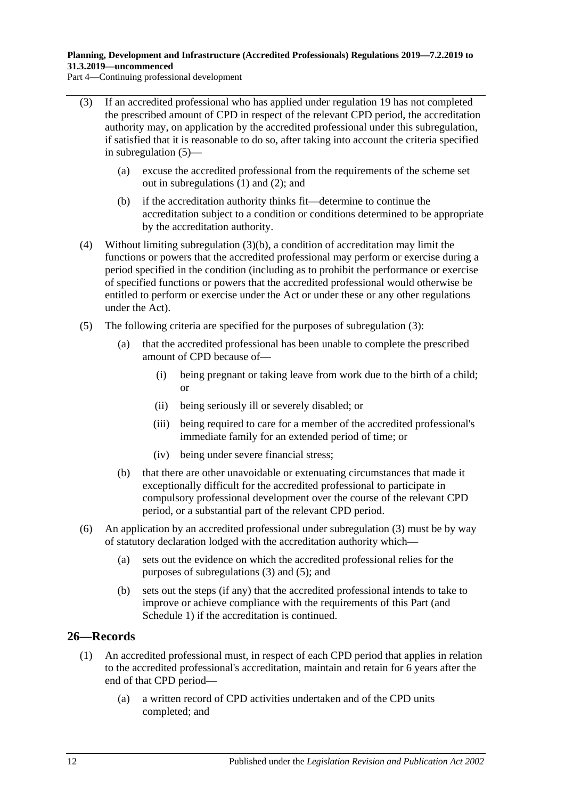Part 4—Continuing professional development

- <span id="page-11-1"></span>(3) If an accredited professional who has applied under [regulation](#page-8-0) 19 has not completed the prescribed amount of CPD in respect of the relevant CPD period, the accreditation authority may, on application by the accredited professional under this subregulation, if satisfied that it is reasonable to do so, after taking into account the criteria specified in [subregulation](#page-11-2) (5)—
	- (a) excuse the accredited professional from the requirements of the scheme set out in [subregulations](#page-10-6) (1) and [\(2\);](#page-10-5) and
	- (b) if the accreditation authority thinks fit—determine to continue the accreditation subject to a condition or conditions determined to be appropriate by the accreditation authority.
- <span id="page-11-3"></span>(4) Without limiting [subregulation](#page-11-3) (3)(b), a condition of accreditation may limit the functions or powers that the accredited professional may perform or exercise during a period specified in the condition (including as to prohibit the performance or exercise of specified functions or powers that the accredited professional would otherwise be entitled to perform or exercise under the Act or under these or any other regulations under the Act).
- <span id="page-11-2"></span>(5) The following criteria are specified for the purposes of [subregulation](#page-11-1) (3):
	- (a) that the accredited professional has been unable to complete the prescribed amount of CPD because of—
		- (i) being pregnant or taking leave from work due to the birth of a child; or
		- (ii) being seriously ill or severely disabled; or
		- (iii) being required to care for a member of the accredited professional's immediate family for an extended period of time; or
		- (iv) being under severe financial stress;
	- (b) that there are other unavoidable or extenuating circumstances that made it exceptionally difficult for the accredited professional to participate in compulsory professional development over the course of the relevant CPD period, or a substantial part of the relevant CPD period.
- (6) An application by an accredited professional under [subregulation](#page-11-1) (3) must be by way of statutory declaration lodged with the accreditation authority which—
	- (a) sets out the evidence on which the accredited professional relies for the purposes of [subregulations](#page-11-1) (3) and [\(5\);](#page-11-2) and
	- (b) sets out the steps (if any) that the accredited professional intends to take to improve or achieve compliance with the requirements of this Part (and [Schedule](#page-19-1) 1) if the accreditation is continued.

### <span id="page-11-4"></span><span id="page-11-0"></span>**26—Records**

- (1) An accredited professional must, in respect of each CPD period that applies in relation to the accredited professional's accreditation, maintain and retain for 6 years after the end of that CPD period—
	- (a) a written record of CPD activities undertaken and of the CPD units completed; and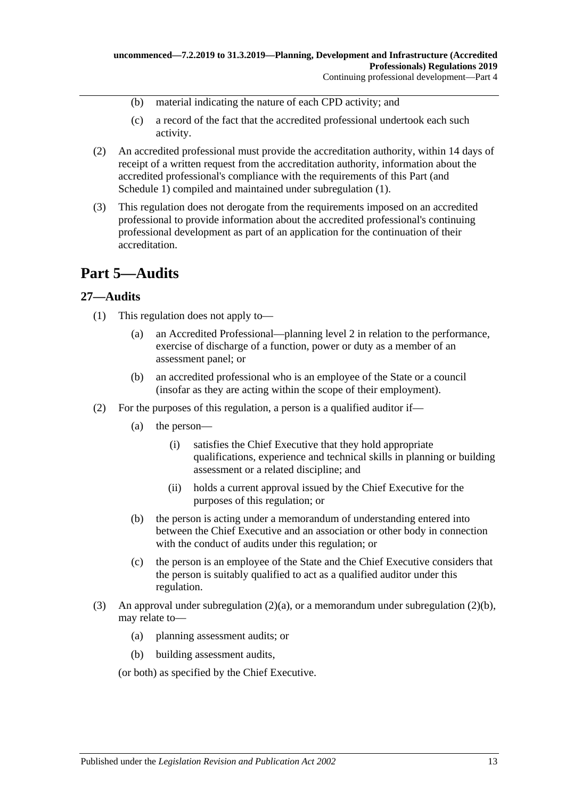- (b) material indicating the nature of each CPD activity; and
- (c) a record of the fact that the accredited professional undertook each such activity.
- (2) An accredited professional must provide the accreditation authority, within 14 days of receipt of a written request from the accreditation authority, information about the accredited professional's compliance with the requirements of this Part (and [Schedule](#page-19-1) 1) compiled and maintained under [subregulation](#page-11-4) (1).
- (3) This regulation does not derogate from the requirements imposed on an accredited professional to provide information about the accredited professional's continuing professional development as part of an application for the continuation of their accreditation.

## <span id="page-12-0"></span>**Part 5—Audits**

### <span id="page-12-1"></span>**27—Audits**

- (1) This regulation does not apply to—
	- (a) an Accredited Professional—planning level 2 in relation to the performance, exercise of discharge of a function, power or duty as a member of an assessment panel; or
	- (b) an accredited professional who is an employee of the State or a council (insofar as they are acting within the scope of their employment).
- <span id="page-12-2"></span>(2) For the purposes of this regulation, a person is a qualified auditor if—
	- (a) the person—
		- (i) satisfies the Chief Executive that they hold appropriate qualifications, experience and technical skills in planning or building assessment or a related discipline; and
		- (ii) holds a current approval issued by the Chief Executive for the purposes of this regulation; or
	- (b) the person is acting under a memorandum of understanding entered into between the Chief Executive and an association or other body in connection with the conduct of audits under this regulation; or
	- (c) the person is an employee of the State and the Chief Executive considers that the person is suitably qualified to act as a qualified auditor under this regulation.
- <span id="page-12-3"></span>(3) An approval under [subregulation](#page-12-3)  $(2)(a)$ , or a memorandum under subregulation  $(2)(b)$ , may relate to—
	- (a) planning assessment audits; or
	- (b) building assessment audits,

(or both) as specified by the Chief Executive.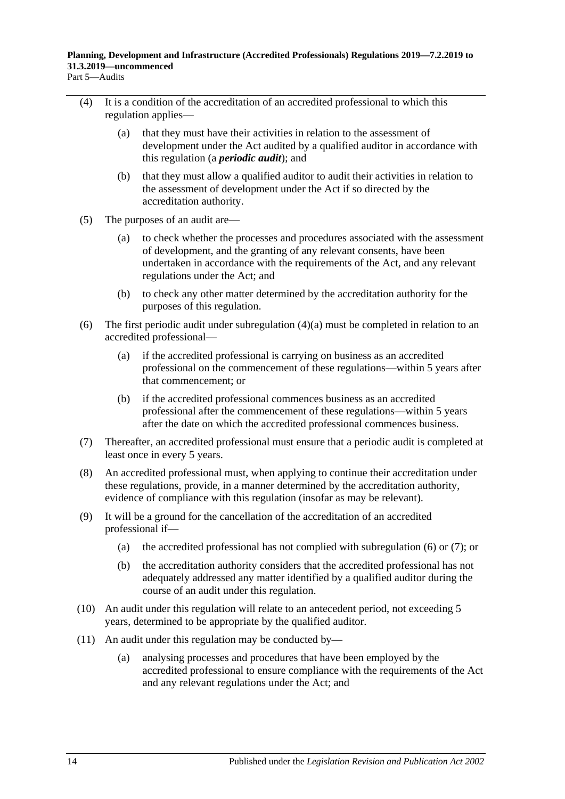- <span id="page-13-1"></span><span id="page-13-0"></span>(4) It is a condition of the accreditation of an accredited professional to which this
	- regulation applies—
		- (a) that they must have their activities in relation to the assessment of development under the Act audited by a qualified auditor in accordance with this regulation (a *periodic audit*); and
		- (b) that they must allow a qualified auditor to audit their activities in relation to the assessment of development under the Act if so directed by the accreditation authority.
	- (5) The purposes of an audit are—
		- (a) to check whether the processes and procedures associated with the assessment of development, and the granting of any relevant consents, have been undertaken in accordance with the requirements of the Act, and any relevant regulations under the Act; and
		- (b) to check any other matter determined by the accreditation authority for the purposes of this regulation.
	- (6) The first periodic audit under [subregulation](#page-13-0) (4)(a) must be completed in relation to an accredited professional—
		- (a) if the accredited professional is carrying on business as an accredited professional on the commencement of these regulations—within 5 years after that commencement; or
		- (b) if the accredited professional commences business as an accredited professional after the commencement of these regulations—within 5 years after the date on which the accredited professional commences business.
	- (7) Thereafter, an accredited professional must ensure that a periodic audit is completed at least once in every 5 years.
	- (8) An accredited professional must, when applying to continue their accreditation under these regulations, provide, in a manner determined by the accreditation authority, evidence of compliance with this regulation (insofar as may be relevant).
	- (9) It will be a ground for the cancellation of the accreditation of an accredited professional if—
		- (a) the accredited professional has not complied with [subregulation](#page-13-1) (6) or [\(7\);](#page-13-2) or
		- (b) the accreditation authority considers that the accredited professional has not adequately addressed any matter identified by a qualified auditor during the course of an audit under this regulation.
- <span id="page-13-2"></span>(10) An audit under this regulation will relate to an antecedent period, not exceeding 5 years, determined to be appropriate by the qualified auditor.
- (11) An audit under this regulation may be conducted by—
	- (a) analysing processes and procedures that have been employed by the accredited professional to ensure compliance with the requirements of the Act and any relevant regulations under the Act; and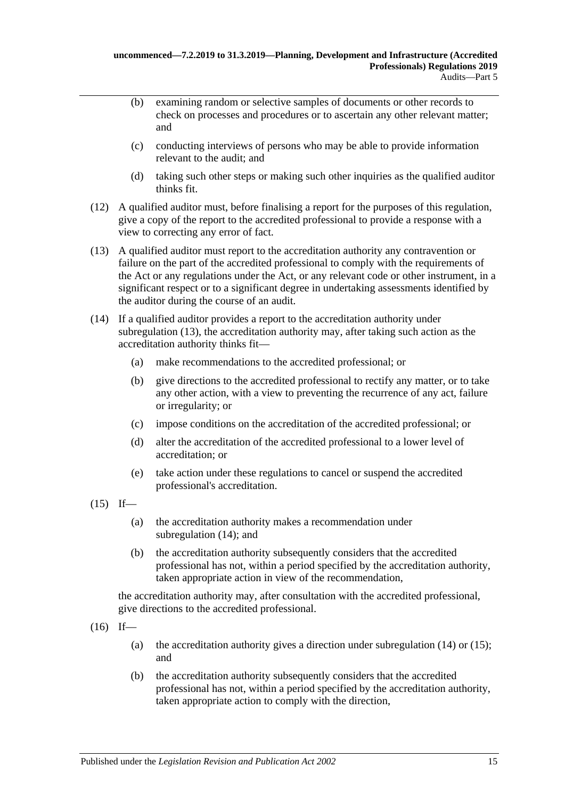- (b) examining random or selective samples of documents or other records to check on processes and procedures or to ascertain any other relevant matter; and
- (c) conducting interviews of persons who may be able to provide information relevant to the audit; and
- (d) taking such other steps or making such other inquiries as the qualified auditor thinks fit.
- (12) A qualified auditor must, before finalising a report for the purposes of this regulation, give a copy of the report to the accredited professional to provide a response with a view to correcting any error of fact.
- <span id="page-14-0"></span>(13) A qualified auditor must report to the accreditation authority any contravention or failure on the part of the accredited professional to comply with the requirements of the Act or any regulations under the Act, or any relevant code or other instrument, in a significant respect or to a significant degree in undertaking assessments identified by the auditor during the course of an audit.
- <span id="page-14-1"></span>(14) If a qualified auditor provides a report to the accreditation authority under [subregulation](#page-14-0) (13), the accreditation authority may, after taking such action as the accreditation authority thinks fit—
	- (a) make recommendations to the accredited professional; or
	- (b) give directions to the accredited professional to rectify any matter, or to take any other action, with a view to preventing the recurrence of any act, failure or irregularity; or
	- (c) impose conditions on the accreditation of the accredited professional; or
	- (d) alter the accreditation of the accredited professional to a lower level of accreditation; or
	- (e) take action under these regulations to cancel or suspend the accredited professional's accreditation.
- <span id="page-14-2"></span> $(15)$  If—
	- (a) the accreditation authority makes a recommendation under [subregulation](#page-14-1) (14); and
	- (b) the accreditation authority subsequently considers that the accredited professional has not, within a period specified by the accreditation authority, taken appropriate action in view of the recommendation,

the accreditation authority may, after consultation with the accredited professional, give directions to the accredited professional.

- $(16)$  If
	- (a) the accreditation authority gives a direction under [subregulation](#page-14-1)  $(14)$  or  $(15)$ ; and
	- (b) the accreditation authority subsequently considers that the accredited professional has not, within a period specified by the accreditation authority, taken appropriate action to comply with the direction,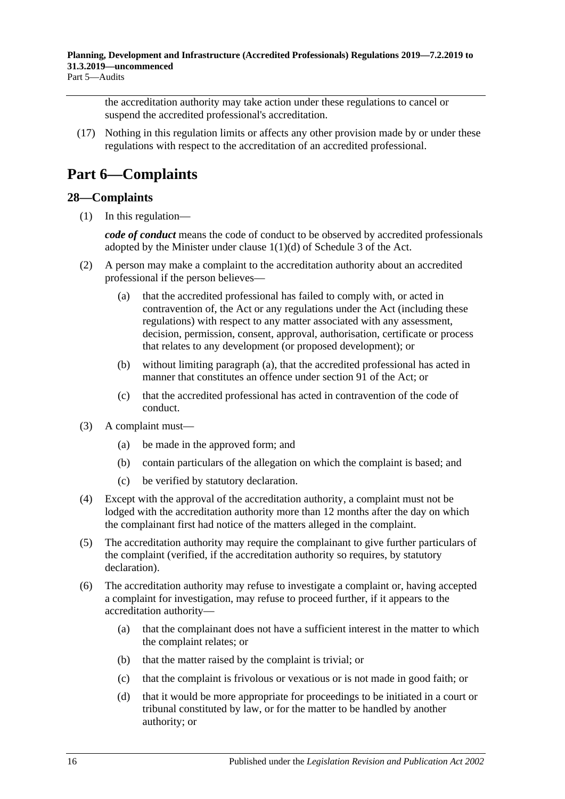the accreditation authority may take action under these regulations to cancel or suspend the accredited professional's accreditation.

(17) Nothing in this regulation limits or affects any other provision made by or under these regulations with respect to the accreditation of an accredited professional.

# <span id="page-15-0"></span>**Part 6—Complaints**

### <span id="page-15-1"></span>**28—Complaints**

(1) In this regulation—

*code of conduct* means the code of conduct to be observed by accredited professionals adopted by the Minister under clause 1(1)(d) of Schedule 3 of the Act.

- <span id="page-15-2"></span>(2) A person may make a complaint to the accreditation authority about an accredited professional if the person believes—
	- (a) that the accredited professional has failed to comply with, or acted in contravention of, the Act or any regulations under the Act (including these regulations) with respect to any matter associated with any assessment, decision, permission, consent, approval, authorisation, certificate or process that relates to any development (or proposed development); or
	- (b) without limiting [paragraph](#page-15-2) (a), that the accredited professional has acted in manner that constitutes an offence under section 91 of the Act; or
	- (c) that the accredited professional has acted in contravention of the code of conduct.
- (3) A complaint must—
	- (a) be made in the approved form; and
	- (b) contain particulars of the allegation on which the complaint is based; and
	- (c) be verified by statutory declaration.
- (4) Except with the approval of the accreditation authority, a complaint must not be lodged with the accreditation authority more than 12 months after the day on which the complainant first had notice of the matters alleged in the complaint.
- (5) The accreditation authority may require the complainant to give further particulars of the complaint (verified, if the accreditation authority so requires, by statutory declaration).
- <span id="page-15-3"></span>(6) The accreditation authority may refuse to investigate a complaint or, having accepted a complaint for investigation, may refuse to proceed further, if it appears to the accreditation authority—
	- (a) that the complainant does not have a sufficient interest in the matter to which the complaint relates; or
	- (b) that the matter raised by the complaint is trivial; or
	- (c) that the complaint is frivolous or vexatious or is not made in good faith; or
	- (d) that it would be more appropriate for proceedings to be initiated in a court or tribunal constituted by law, or for the matter to be handled by another authority; or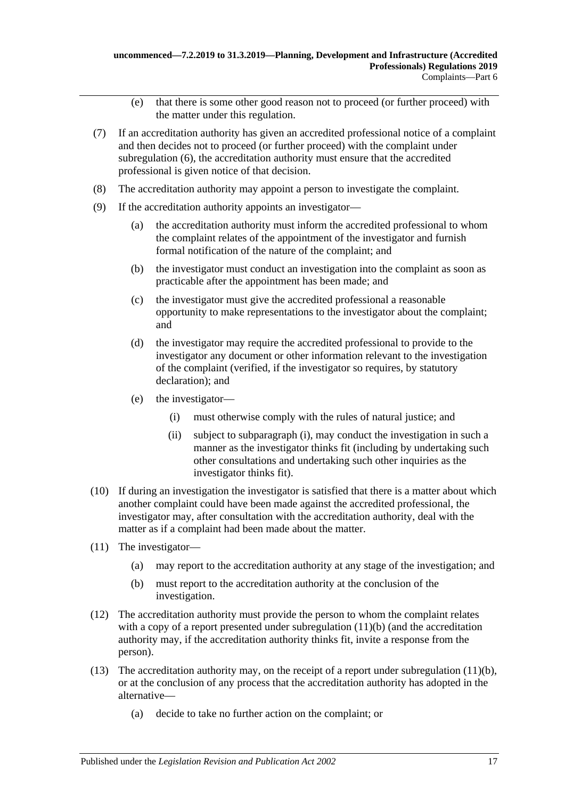- (e) that there is some other good reason not to proceed (or further proceed) with the matter under this regulation.
- (7) If an accreditation authority has given an accredited professional notice of a complaint and then decides not to proceed (or further proceed) with the complaint under [subregulation](#page-15-3) (6), the accreditation authority must ensure that the accredited professional is given notice of that decision.
- (8) The accreditation authority may appoint a person to investigate the complaint.
- (9) If the accreditation authority appoints an investigator—
	- (a) the accreditation authority must inform the accredited professional to whom the complaint relates of the appointment of the investigator and furnish formal notification of the nature of the complaint; and
	- (b) the investigator must conduct an investigation into the complaint as soon as practicable after the appointment has been made; and
	- (c) the investigator must give the accredited professional a reasonable opportunity to make representations to the investigator about the complaint; and
	- (d) the investigator may require the accredited professional to provide to the investigator any document or other information relevant to the investigation of the complaint (verified, if the investigator so requires, by statutory declaration); and
	- (e) the investigator—
		- (i) must otherwise comply with the rules of natural justice; and
		- (ii) subject to [subparagraph](#page-16-0) (i), may conduct the investigation in such a manner as the investigator thinks fit (including by undertaking such other consultations and undertaking such other inquiries as the investigator thinks fit).
- <span id="page-16-0"></span>(10) If during an investigation the investigator is satisfied that there is a matter about which another complaint could have been made against the accredited professional, the investigator may, after consultation with the accreditation authority, deal with the matter as if a complaint had been made about the matter.
- <span id="page-16-1"></span>(11) The investigator—
	- (a) may report to the accreditation authority at any stage of the investigation; and
	- (b) must report to the accreditation authority at the conclusion of the investigation.
- (12) The accreditation authority must provide the person to whom the complaint relates with a copy of a report presented under [subregulation](#page-16-1) (11)(b) (and the accreditation authority may, if the accreditation authority thinks fit, invite a response from the person).
- <span id="page-16-2"></span>(13) The accreditation authority may, on the receipt of a report under [subregulation](#page-16-1)  $(11)(b)$ , or at the conclusion of any process that the accreditation authority has adopted in the alternative—
	- (a) decide to take no further action on the complaint; or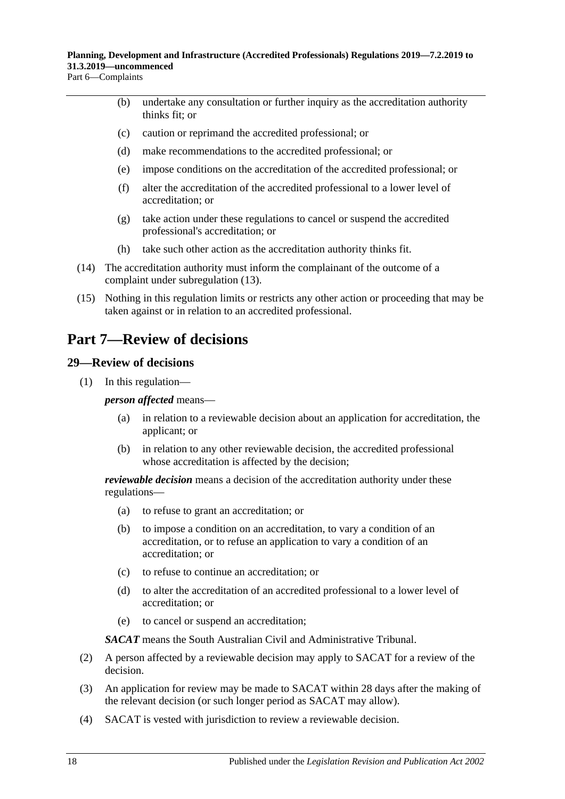Part 6—Complaints

- (b) undertake any consultation or further inquiry as the accreditation authority thinks fit; or
- (c) caution or reprimand the accredited professional; or
- (d) make recommendations to the accredited professional; or
- (e) impose conditions on the accreditation of the accredited professional; or
- (f) alter the accreditation of the accredited professional to a lower level of accreditation; or
- (g) take action under these regulations to cancel or suspend the accredited professional's accreditation; or
- (h) take such other action as the accreditation authority thinks fit.
- (14) The accreditation authority must inform the complainant of the outcome of a complaint under [subregulation](#page-16-2) (13).
- (15) Nothing in this regulation limits or restricts any other action or proceeding that may be taken against or in relation to an accredited professional.

## <span id="page-17-0"></span>**Part 7—Review of decisions**

### <span id="page-17-1"></span>**29—Review of decisions**

(1) In this regulation—

*person affected* means—

- (a) in relation to a reviewable decision about an application for accreditation, the applicant; or
- (b) in relation to any other reviewable decision, the accredited professional whose accreditation is affected by the decision;

*reviewable decision* means a decision of the accreditation authority under these regulations—

- (a) to refuse to grant an accreditation; or
- (b) to impose a condition on an accreditation, to vary a condition of an accreditation, or to refuse an application to vary a condition of an accreditation; or
- (c) to refuse to continue an accreditation; or
- (d) to alter the accreditation of an accredited professional to a lower level of accreditation; or
- (e) to cancel or suspend an accreditation;

*SACAT* means the South Australian Civil and Administrative Tribunal.

- (2) A person affected by a reviewable decision may apply to SACAT for a review of the decision.
- (3) An application for review may be made to SACAT within 28 days after the making of the relevant decision (or such longer period as SACAT may allow).
- (4) SACAT is vested with jurisdiction to review a reviewable decision.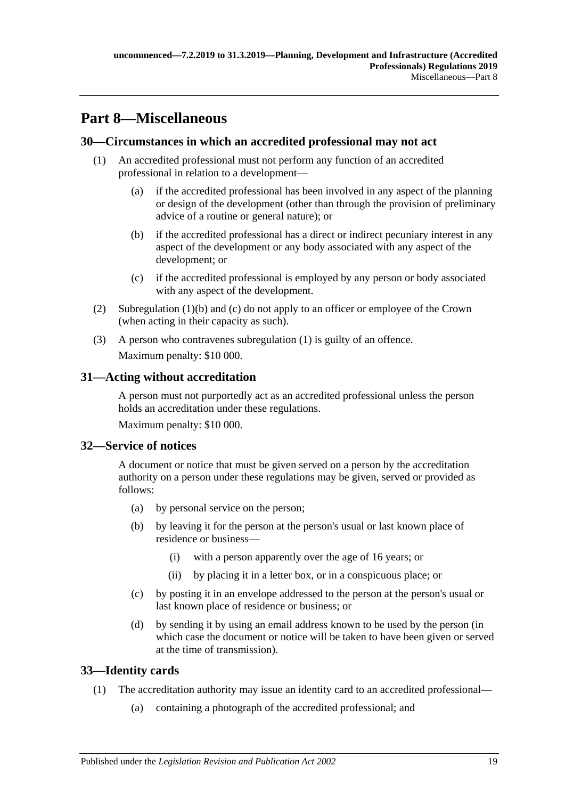# <span id="page-18-0"></span>**Part 8—Miscellaneous**

### <span id="page-18-7"></span><span id="page-18-1"></span>**30—Circumstances in which an accredited professional may not act**

- <span id="page-18-5"></span>(1) An accredited professional must not perform any function of an accredited professional in relation to a development—
	- (a) if the accredited professional has been involved in any aspect of the planning or design of the development (other than through the provision of preliminary advice of a routine or general nature); or
	- (b) if the accredited professional has a direct or indirect pecuniary interest in any aspect of the development or any body associated with any aspect of the development; or
	- (c) if the accredited professional is employed by any person or body associated with any aspect of the development.
- <span id="page-18-6"></span>(2) [Subregulation](#page-18-5) (1)(b) and [\(c\)](#page-18-6) do not apply to an officer or employee of the Crown (when acting in their capacity as such).
- (3) A person who contravenes [subregulation](#page-18-7) (1) is guilty of an offence. Maximum penalty: \$10 000.

### <span id="page-18-2"></span>**31—Acting without accreditation**

A person must not purportedly act as an accredited professional unless the person holds an accreditation under these regulations.

Maximum penalty: \$10 000.

### <span id="page-18-3"></span>**32—Service of notices**

A document or notice that must be given served on a person by the accreditation authority on a person under these regulations may be given, served or provided as follows:

- (a) by personal service on the person;
- (b) by leaving it for the person at the person's usual or last known place of residence or business—
	- (i) with a person apparently over the age of 16 years; or
	- (ii) by placing it in a letter box, or in a conspicuous place; or
- (c) by posting it in an envelope addressed to the person at the person's usual or last known place of residence or business; or
- (d) by sending it by using an email address known to be used by the person (in which case the document or notice will be taken to have been given or served at the time of transmission).

### <span id="page-18-4"></span>**33—Identity cards**

- (1) The accreditation authority may issue an identity card to an accredited professional—
	- (a) containing a photograph of the accredited professional; and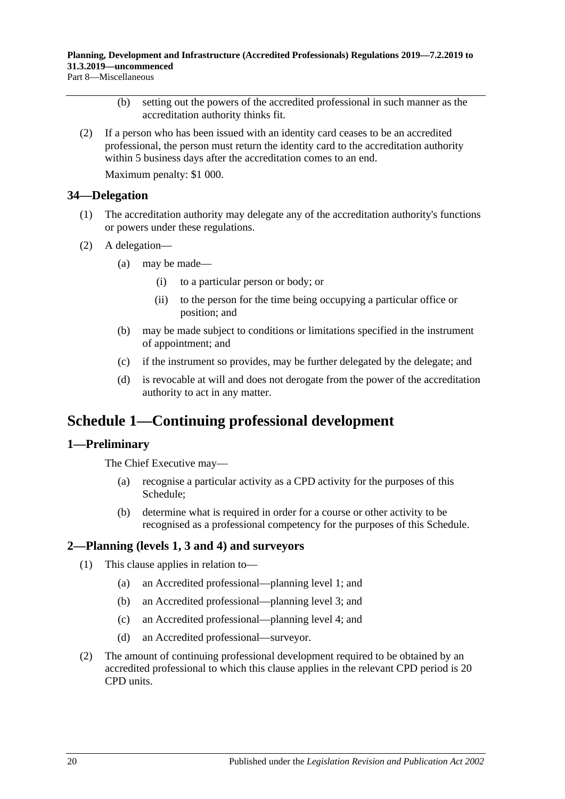Part 8—Miscellaneous

- (b) setting out the powers of the accredited professional in such manner as the accreditation authority thinks fit.
- (2) If a person who has been issued with an identity card ceases to be an accredited professional, the person must return the identity card to the accreditation authority within 5 business days after the accreditation comes to an end.

Maximum penalty: \$1 000.

#### <span id="page-19-0"></span>**34—Delegation**

- (1) The accreditation authority may delegate any of the accreditation authority's functions or powers under these regulations.
- (2) A delegation—
	- (a) may be made—
		- (i) to a particular person or body; or
		- (ii) to the person for the time being occupying a particular office or position; and
	- (b) may be made subject to conditions or limitations specified in the instrument of appointment; and
	- (c) if the instrument so provides, may be further delegated by the delegate; and
	- (d) is revocable at will and does not derogate from the power of the accreditation authority to act in any matter.

## <span id="page-19-1"></span>**Schedule 1—Continuing professional development**

### <span id="page-19-2"></span>**1—Preliminary**

The Chief Executive may—

- (a) recognise a particular activity as a CPD activity for the purposes of this Schedule;
- (b) determine what is required in order for a course or other activity to be recognised as a professional competency for the purposes of this Schedule.

### <span id="page-19-3"></span>**2—Planning (levels 1, 3 and 4) and surveyors**

- (1) This clause applies in relation to—
	- (a) an Accredited professional—planning level 1; and
	- (b) an Accredited professional—planning level 3; and
	- (c) an Accredited professional—planning level 4; and
	- (d) an Accredited professional—surveyor.
- <span id="page-19-4"></span>(2) The amount of continuing professional development required to be obtained by an accredited professional to which this clause applies in the relevant CPD period is 20 CPD units.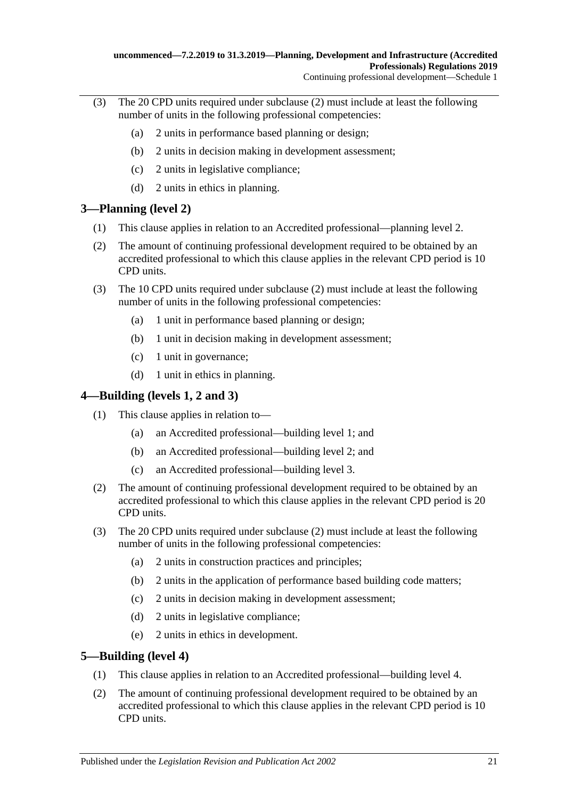- (3) The 20 CPD units required under [subclause](#page-19-4) (2) must include at least the following number of units in the following professional competencies:
	- (a) 2 units in performance based planning or design;
	- (b) 2 units in decision making in development assessment;
	- (c) 2 units in legislative compliance;
	- (d) 2 units in ethics in planning.

### <span id="page-20-0"></span>**3—Planning (level 2)**

- (1) This clause applies in relation to an Accredited professional—planning level 2.
- <span id="page-20-3"></span>(2) The amount of continuing professional development required to be obtained by an accredited professional to which this clause applies in the relevant CPD period is 10 CPD units.
- (3) The 10 CPD units required under [subclause](#page-20-3) (2) must include at least the following number of units in the following professional competencies:
	- (a) 1 unit in performance based planning or design;
	- (b) 1 unit in decision making in development assessment;
	- (c) 1 unit in governance;
	- (d) 1 unit in ethics in planning.

### <span id="page-20-1"></span>**4—Building (levels 1, 2 and 3)**

- (1) This clause applies in relation to—
	- (a) an Accredited professional—building level 1; and
	- (b) an Accredited professional—building level 2; and
	- (c) an Accredited professional—building level 3.
- <span id="page-20-4"></span>(2) The amount of continuing professional development required to be obtained by an accredited professional to which this clause applies in the relevant CPD period is 20 CPD units.
- (3) The 20 CPD units required under [subclause](#page-20-4) (2) must include at least the following number of units in the following professional competencies:
	- (a) 2 units in construction practices and principles;
	- (b) 2 units in the application of performance based building code matters;
	- (c) 2 units in decision making in development assessment;
	- (d) 2 units in legislative compliance;
	- (e) 2 units in ethics in development.

## <span id="page-20-2"></span>**5—Building (level 4)**

- (1) This clause applies in relation to an Accredited professional—building level 4.
- <span id="page-20-5"></span>(2) The amount of continuing professional development required to be obtained by an accredited professional to which this clause applies in the relevant CPD period is 10 CPD units.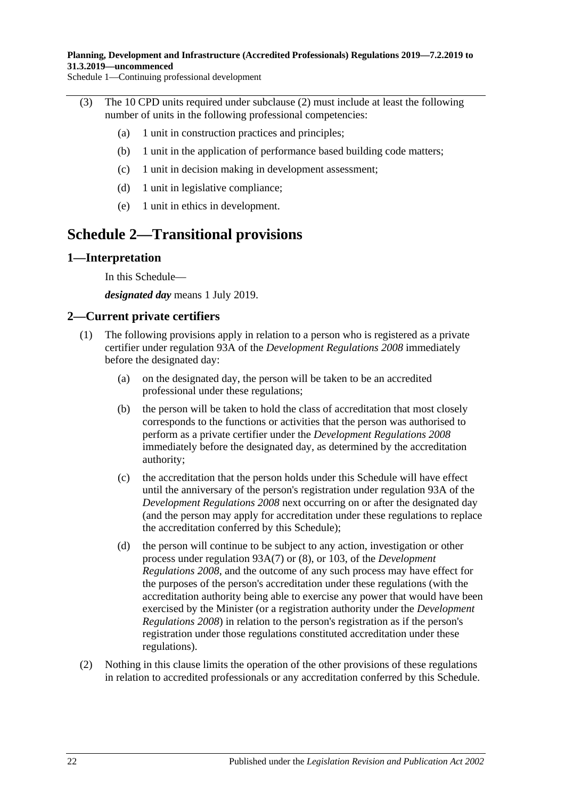Schedule 1—Continuing professional development

- (3) The 10 CPD units required under [subclause](#page-20-5) (2) must include at least the following number of units in the following professional competencies:
	- (a) 1 unit in construction practices and principles;
	- (b) 1 unit in the application of performance based building code matters;
	- (c) 1 unit in decision making in development assessment;
	- (d) 1 unit in legislative compliance;
	- (e) 1 unit in ethics in development.

## <span id="page-21-0"></span>**Schedule 2—Transitional provisions**

#### <span id="page-21-1"></span>**1—Interpretation**

In this Schedule—

*designated day* means 1 July 2019.

#### <span id="page-21-2"></span>**2—Current private certifiers**

- (1) The following provisions apply in relation to a person who is registered as a private certifier under regulation 93A of the *[Development Regulations](http://www.legislation.sa.gov.au/index.aspx?action=legref&type=subordleg&legtitle=Development%20Regulations%202008) 2008* immediately before the designated day:
	- (a) on the designated day, the person will be taken to be an accredited professional under these regulations;
	- (b) the person will be taken to hold the class of accreditation that most closely corresponds to the functions or activities that the person was authorised to perform as a private certifier under the *[Development Regulations](http://www.legislation.sa.gov.au/index.aspx?action=legref&type=subordleg&legtitle=Development%20Regulations%202008) 2008* immediately before the designated day, as determined by the accreditation authority;
	- (c) the accreditation that the person holds under this Schedule will have effect until the anniversary of the person's registration under regulation 93A of the *[Development Regulations](http://www.legislation.sa.gov.au/index.aspx?action=legref&type=subordleg&legtitle=Development%20Regulations%202008) 2008* next occurring on or after the designated day (and the person may apply for accreditation under these regulations to replace the accreditation conferred by this Schedule);
	- (d) the person will continue to be subject to any action, investigation or other process under regulation 93A(7) or (8), or 103, of the *[Development](http://www.legislation.sa.gov.au/index.aspx?action=legref&type=subordleg&legtitle=Development%20Regulations%202008)  [Regulations](http://www.legislation.sa.gov.au/index.aspx?action=legref&type=subordleg&legtitle=Development%20Regulations%202008) 2008*, and the outcome of any such process may have effect for the purposes of the person's accreditation under these regulations (with the accreditation authority being able to exercise any power that would have been exercised by the Minister (or a registration authority under the *[Development](http://www.legislation.sa.gov.au/index.aspx?action=legref&type=subordleg&legtitle=Development%20Regulations%202008)  [Regulations](http://www.legislation.sa.gov.au/index.aspx?action=legref&type=subordleg&legtitle=Development%20Regulations%202008) 2008*) in relation to the person's registration as if the person's registration under those regulations constituted accreditation under these regulations).
- (2) Nothing in this clause limits the operation of the other provisions of these regulations in relation to accredited professionals or any accreditation conferred by this Schedule.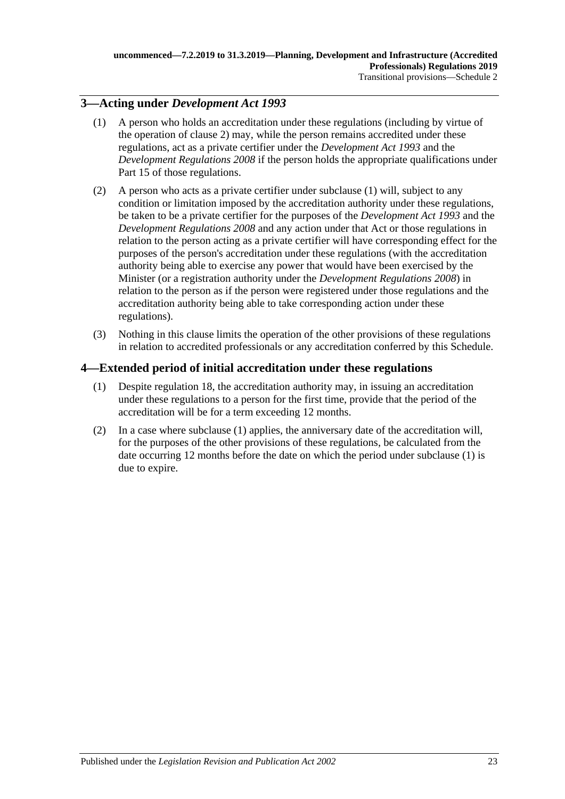## <span id="page-22-2"></span><span id="page-22-0"></span>**3—Acting under** *Development Act 1993*

- (1) A person who holds an accreditation under these regulations (including by virtue of the operation of [clause](#page-21-2) 2) may, while the person remains accredited under these regulations, act as a private certifier under the *[Development Act](http://www.legislation.sa.gov.au/index.aspx?action=legref&type=act&legtitle=Development%20Act%201993) 1993* and the *[Development Regulations](http://www.legislation.sa.gov.au/index.aspx?action=legref&type=subordleg&legtitle=Development%20Regulations%202008) 2008* if the person holds the appropriate qualifications under Part 15 of those regulations.
- (2) A person who acts as a private certifier under [subclause](#page-22-2) (1) will, subject to any condition or limitation imposed by the accreditation authority under these regulations, be taken to be a private certifier for the purposes of the *[Development Act](http://www.legislation.sa.gov.au/index.aspx?action=legref&type=act&legtitle=Development%20Act%201993) 1993* and the *[Development Regulations](http://www.legislation.sa.gov.au/index.aspx?action=legref&type=subordleg&legtitle=Development%20Regulations%202008) 2008* and any action under that Act or those regulations in relation to the person acting as a private certifier will have corresponding effect for the purposes of the person's accreditation under these regulations (with the accreditation authority being able to exercise any power that would have been exercised by the Minister (or a registration authority under the *[Development Regulations](http://www.legislation.sa.gov.au/index.aspx?action=legref&type=subordleg&legtitle=Development%20Regulations%202008) 2008*) in relation to the person as if the person were registered under those regulations and the accreditation authority being able to take corresponding action under these regulations).
- (3) Nothing in this clause limits the operation of the other provisions of these regulations in relation to accredited professionals or any accreditation conferred by this Schedule.

### <span id="page-22-3"></span><span id="page-22-1"></span>**4—Extended period of initial accreditation under these regulations**

- (1) Despite [regulation](#page-7-1) 18, the accreditation authority may, in issuing an accreditation under these regulations to a person for the first time, provide that the period of the accreditation will be for a term exceeding 12 months.
- (2) In a case where [subclause](#page-22-3) (1) applies, the anniversary date of the accreditation will, for the purposes of the other provisions of these regulations, be calculated from the date occurring 12 months before the date on which the period under [subclause](#page-22-3) (1) is due to expire.